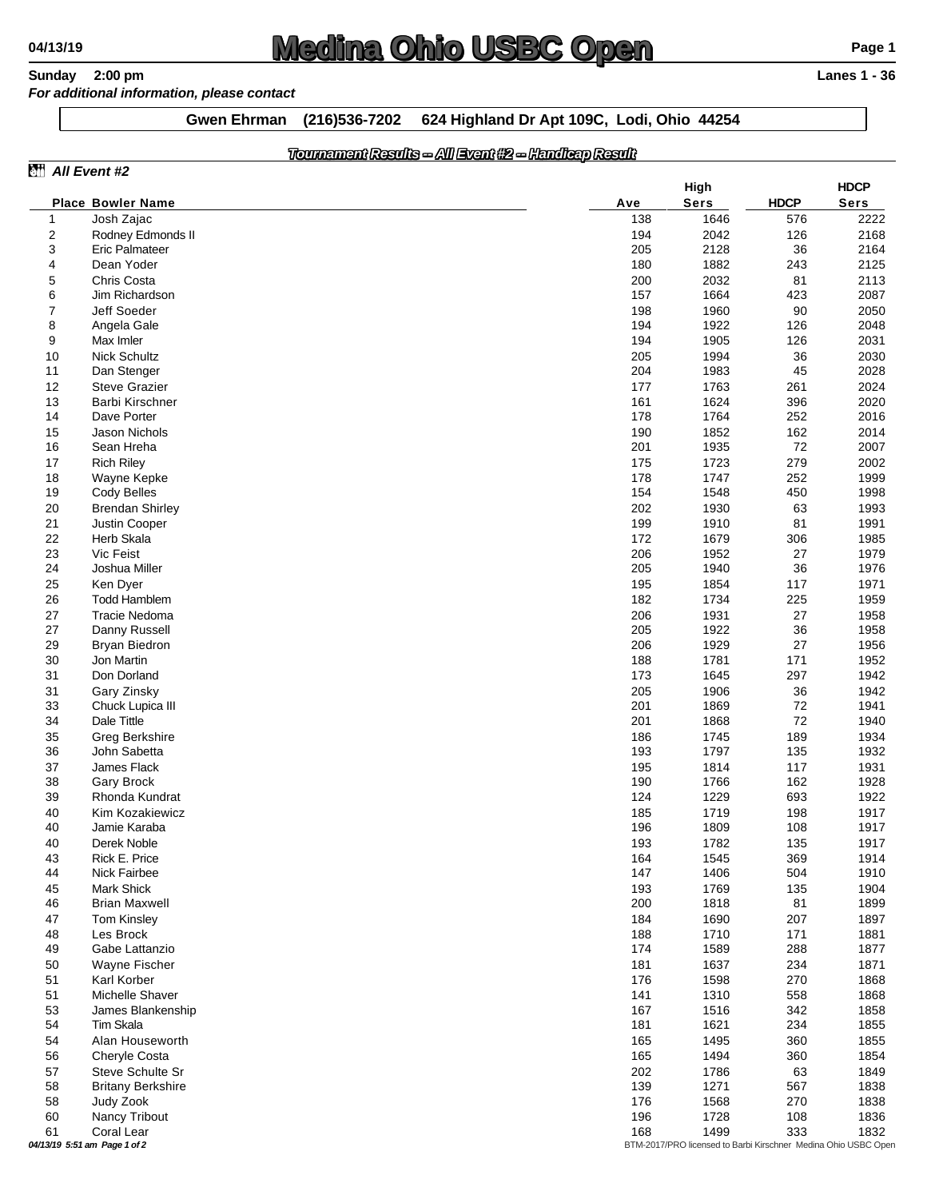## **04/13/19 Compared 2:00 pm**<br> **Compare 1 2:00 pm**<br> **Canes 1 - 36**<br> **Compared 1 - 36**<br> **Compare 1 - 36**<br> **Compare 1 - 36**

## **Sunday** 2:00 pm *For additional information, please contact*

**Gwen Ehrman (216)536-7202 624 Highland Dr Apt 109C, Lodi, Ohio 44254**

## *Tournament Results -- All Event #2 -- Handicap Result*

| All Event #2   |                                                                                                |            |              |             |              |  |
|----------------|------------------------------------------------------------------------------------------------|------------|--------------|-------------|--------------|--|
|                |                                                                                                |            | High         |             | <b>HDCP</b>  |  |
|                | <b>Place Bowler Name</b>                                                                       | Ave        | <b>Sers</b>  | <b>HDCP</b> | <b>Sers</b>  |  |
| $\mathbf{1}$   | Josh Zajac                                                                                     | 138        | 1646         | 576         | 2222         |  |
| 2              | Rodney Edmonds II                                                                              | 194        | 2042         | 126         | 2168         |  |
| 3              | Eric Palmateer                                                                                 | 205        | 2128         | 36          | 2164         |  |
| 4              | Dean Yoder                                                                                     | 180        | 1882         | 243         | 2125         |  |
| 5<br>6         | Chris Costa<br>Jim Richardson                                                                  | 200<br>157 | 2032<br>1664 | 81<br>423   | 2113<br>2087 |  |
| $\overline{7}$ | Jeff Soeder                                                                                    | 198        | 1960         | 90          | 2050         |  |
| 8              | Angela Gale                                                                                    | 194        | 1922         | 126         | 2048         |  |
| 9              | Max Imler                                                                                      | 194        | 1905         | 126         | 2031         |  |
| 10             | Nick Schultz                                                                                   | 205        | 1994         | 36          | 2030         |  |
| 11             | Dan Stenger                                                                                    | 204        | 1983         | 45          | 2028         |  |
| 12             | <b>Steve Grazier</b>                                                                           | 177        | 1763         | 261         | 2024         |  |
| 13             | Barbi Kirschner                                                                                | 161        | 1624         | 396         | 2020         |  |
| 14             | Dave Porter                                                                                    | 178        | 1764         | 252         | 2016         |  |
| 15             | Jason Nichols                                                                                  | 190        | 1852         | 162         | 2014         |  |
| 16             | Sean Hreha                                                                                     | 201        | 1935         | 72          | 2007         |  |
| 17             | <b>Rich Riley</b>                                                                              | 175        | 1723         | 279         | 2002         |  |
| 18             | Wayne Kepke                                                                                    | 178        | 1747         | 252         | 1999         |  |
| 19             | Cody Belles                                                                                    | 154        | 1548         | 450         | 1998         |  |
| 20             | <b>Brendan Shirley</b>                                                                         | 202        | 1930         | 63          | 1993         |  |
| 21             | Justin Cooper                                                                                  | 199        | 1910         | 81          | 1991         |  |
| 22             | Herb Skala                                                                                     | 172        | 1679         | 306         | 1985         |  |
| 23             | Vic Feist                                                                                      | 206        | 1952         | 27          | 1979         |  |
| 24             | Joshua Miller                                                                                  | 205        | 1940         | 36          | 1976         |  |
| 25             | Ken Dyer                                                                                       | 195        | 1854         | 117         | 1971         |  |
| 26             | <b>Todd Hamblem</b>                                                                            | 182        | 1734         | 225         | 1959         |  |
| 27             | Tracie Nedoma                                                                                  | 206        | 1931         | 27          | 1958         |  |
| 27             | Danny Russell                                                                                  | 205        | 1922         | 36          | 1958         |  |
| 29             | <b>Bryan Biedron</b>                                                                           | 206        | 1929         | 27<br>171   | 1956         |  |
| 30<br>31       | Jon Martin<br>Don Dorland                                                                      | 188<br>173 | 1781<br>1645 | 297         | 1952<br>1942 |  |
| 31             | Gary Zinsky                                                                                    | 205        | 1906         | 36          | 1942         |  |
| 33             | Chuck Lupica III                                                                               | 201        | 1869         | 72          | 1941         |  |
| 34             | Dale Tittle                                                                                    | 201        | 1868         | 72          | 1940         |  |
| 35             | Greg Berkshire                                                                                 | 186        | 1745         | 189         | 1934         |  |
| 36             | John Sabetta                                                                                   | 193        | 1797         | 135         | 1932         |  |
| 37             | James Flack                                                                                    | 195        | 1814         | 117         | 1931         |  |
| 38             | <b>Gary Brock</b>                                                                              | 190        | 1766         | 162         | 1928         |  |
| 39             | Rhonda Kundrat                                                                                 | 124        | 1229         | 693         | 1922         |  |
| 40             | Kim Kozakiewicz                                                                                | 185        | 1719         | 198         | 1917         |  |
| 40             | Jamie Karaba                                                                                   | 196        | 1809         | 108         | 1917         |  |
| 40             | Derek Noble                                                                                    | 193        | 1782         | 135         | 1917         |  |
| 43             | Rick E. Price                                                                                  | 164        | 1545         | 369         | 1914         |  |
| 44             | Nick Fairbee                                                                                   | 147        | 1406         | 504         | 1910         |  |
| 45             | <b>Mark Shick</b>                                                                              | 193        | 1769         | 135         | 1904         |  |
| 46             | <b>Brian Maxwell</b>                                                                           | 200        | 1818         | 81          | 1899         |  |
| 47             | <b>Tom Kinsley</b>                                                                             | 184        | 1690         | 207         | 1897         |  |
| 48             | Les Brock                                                                                      | 188        | 1710         | 171         | 1881         |  |
| 49             | Gabe Lattanzio                                                                                 | 174        | 1589         | 288         | 1877         |  |
| 50<br>51       | Wayne Fischer<br>Karl Korber                                                                   | 181<br>176 | 1637         | 234<br>270  | 1871<br>1868 |  |
| 51             | Michelle Shaver                                                                                | 141        | 1598<br>1310 | 558         | 1868         |  |
| 53             | James Blankenship                                                                              | 167        | 1516         | 342         | 1858         |  |
| 54             | Tim Skala                                                                                      | 181        | 1621         | 234         | 1855         |  |
| 54             | Alan Houseworth                                                                                | 165        | 1495         | 360         | 1855         |  |
| 56             | Cheryle Costa                                                                                  | 165        | 1494         | 360         | 1854         |  |
| 57             | Steve Schulte Sr                                                                               | 202        | 1786         | 63          | 1849         |  |
| 58             | <b>Britany Berkshire</b>                                                                       | 139        | 1271         | 567         | 1838         |  |
| 58             | Judy Zook                                                                                      | 176        | 1568         | 270         | 1838         |  |
| 60             | Nancy Tribout                                                                                  | 196        | 1728         | 108         | 1836         |  |
| 61             | Coral Lear                                                                                     | 168        | 1499         | 333         | 1832         |  |
|                | 04/13/19 5:51 am Page 1 of 2<br>BTM-2017/PRO licensed to Barbi Kirschner Medina Ohio USBC Oper |            |              |             |              |  |